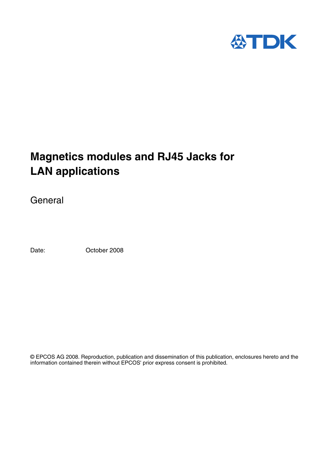

# **Magnetics modules and RJ45 Jacks for LAN applications**

General

Date: October 2008

© EPCOS AG 2008. Reproduction, publication and dissemination of this publication, enclosures hereto and the information contained therein without EPCOS' prior express consent is prohibited.